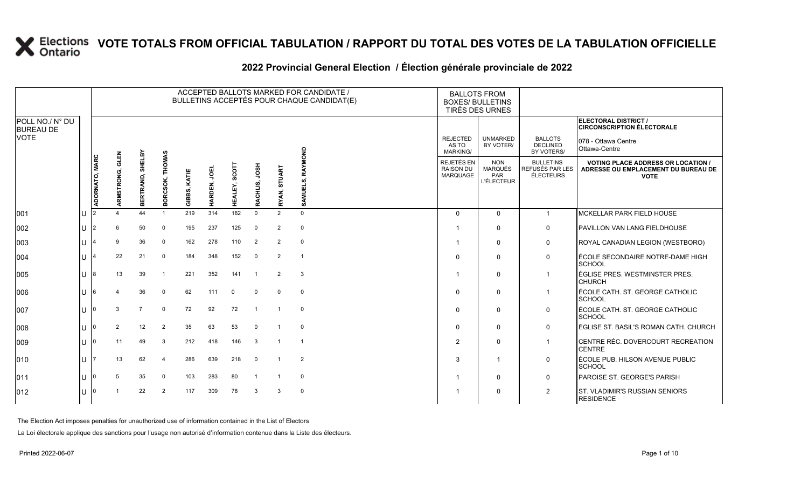#### **2022 Provincial General Election / Élection générale provinciale de 2022**

|                                     |    |                |                    |                     |                           |                 |              |                         |                  |                | ACCEPTED BALLOTS MARKED FOR CANDIDATE /<br>BULLETINS ACCEPTÉS POUR CHAQUE CANDIDAT(E) | <b>BALLOTS FROM</b><br><b>BOXES/ BULLETINS</b><br>TIRÉS DES URNES |                                                          |                                                         |                                                                                                 |
|-------------------------------------|----|----------------|--------------------|---------------------|---------------------------|-----------------|--------------|-------------------------|------------------|----------------|---------------------------------------------------------------------------------------|-------------------------------------------------------------------|----------------------------------------------------------|---------------------------------------------------------|-------------------------------------------------------------------------------------------------|
| POLL NO./ N° DU<br><b>BUREAU DE</b> |    |                |                    |                     |                           |                 |              |                         |                  |                |                                                                                       |                                                                   |                                                          |                                                         | <b>ELECTORAL DISTRICT /</b><br><b>CIRCONSCRIPTION ÉLECTORALE</b>                                |
| <b>VOTE</b>                         |    |                |                    |                     |                           |                 |              |                         |                  |                |                                                                                       | <b>REJECTED</b><br>AS TO<br>MARKING/                              | <b>UNMARKED</b><br>BY VOTER/                             | <b>BALLOTS</b><br><b>DECLINED</b><br>BY VOTERS/         | 078 - Ottawa Centre<br>Ottawa-Centre                                                            |
|                                     |    | ADORNATO, MARC | GLEN<br>ARMSTRONG, | SHELBY<br>BERTRAND, | <b>THOMAS</b><br>BORCSOK, | BBS, KATIE<br>ō | ğ<br>HARDEN, | <b>SCOTT</b><br>HEALEY, | HSOL<br>RACHLIS, | RYAN, STUART   | RAYMOND<br>SAMUELS,                                                                   | REJETÉS EN<br><b>RAISON DU</b><br>MARQUAGE                        | <b>NON</b><br>MARQUÉS<br><b>PAR</b><br><b>L'ÉLECTEUR</b> | <b>BULLETINS</b><br>REFUSÉS PAR LES<br><b>ÉLECTEURS</b> | <b>VOTING PLACE ADDRESS OR LOCATION /</b><br>ADRESSE OU EMPLACEMENT DU BUREAU DE<br><b>VOTE</b> |
| 001                                 | ΙU |                |                    | 44                  |                           | 219             | 314          | 162                     | $\Omega$         | $\overline{2}$ | $\mathbf 0$                                                                           | $\Omega$                                                          | $\Omega$                                                 | $\overline{1}$                                          | <b>MCKELLAR PARK FIELD HOUSE</b>                                                                |
| 002                                 | lΠ | 2              | 6                  | 50                  | $\Omega$                  | 195             | 237          | 125                     | $\mathbf 0$      | 2              | $\mathbf 0$                                                                           |                                                                   | $\Omega$                                                 | $\mathbf 0$                                             | PAVILLON VAN LANG FIELDHOUSE                                                                    |
| 003                                 | lU |                | 9                  | 36                  | $\Omega$                  | 162             | 278          | 110                     | 2                | $\overline{2}$ | $\mathbf 0$                                                                           |                                                                   | $\Omega$                                                 | $\mathbf 0$                                             | ROYAL CANADIAN LEGION (WESTBORO)                                                                |
| 004                                 | IП |                | 22                 | 21                  | $\Omega$                  | 184             | 348          | 152                     | $\Omega$         | $\overline{2}$ |                                                                                       | $\Omega$                                                          | $\mathbf 0$                                              | $\mathbf 0$                                             | ÉCOLE SECONDAIRE NOTRE-DAME HIGH<br>SCHOOL                                                      |
| 005                                 | lΠ | 8              | 13                 | 39                  | - 1                       | 221             | 352          | 141                     | $\overline{1}$   | 2              | 3                                                                                     |                                                                   | $\mathbf 0$                                              | -1                                                      | LÉGLISE PRES. WESTMINSTER PRES.<br><b>CHURCH</b>                                                |
| 006                                 | ΙU |                |                    | 36                  | $\mathbf 0$               | 62              | 111          | $\Omega$                | 0                | $\Omega$       | $\mathbf 0$                                                                           | $\Omega$                                                          | $\mathbf 0$                                              |                                                         | ÉCOLE CATH. ST. GEORGE CATHOLIC<br>SCHOOL                                                       |
| 007                                 | lΠ |                | 3                  | $\overline{7}$      | $\mathbf 0$               | 72              | 92           | 72                      | $\overline{1}$   |                | $\mathbf 0$                                                                           | $\Omega$                                                          | $\Omega$                                                 | $\mathbf 0$                                             | LÉCOLE CATH. ST. GEORGE CATHOLIC<br>SCHOOL                                                      |
| 008                                 | lu |                | $\overline{2}$     | 12                  | 2                         | 35              | 63           | 53                      | $\mathbf 0$      |                | $\mathbf 0$                                                                           | $\Omega$                                                          | $\mathbf 0$                                              | $\mathbf 0$                                             | ÉGLISE ST. BASIL'S ROMAN CATH. CHURCH                                                           |
| 009                                 | IП |                | 11                 | 49                  | 3                         | 212             | 418          | 146                     | 3                |                |                                                                                       | $\overline{2}$                                                    | $\mathbf 0$                                              | $\overline{1}$                                          | CENTRE RÉC. DOVERCOURT RECREATION<br><b>CENTRE</b>                                              |
| 010                                 | lu |                | 13                 | 62                  | $\overline{4}$            | 286             | 639          | 218                     | $\mathbf 0$      |                | $\overline{2}$                                                                        | 3                                                                 | $\overline{\mathbf{1}}$                                  | $\mathbf 0$                                             | LÉCOLE PUB. HILSON AVENUE PUBLIC<br><b>SCHOOL</b>                                               |
| 011                                 | lU |                | -5                 | 35                  | $\Omega$                  | 103             | 283          | 80                      |                  |                | $\mathbf 0$                                                                           |                                                                   | $\mathbf 0$                                              | $\mathbf 0$                                             | PAROISE ST. GEORGE'S PARISH                                                                     |
| $ 012\rangle$                       | Ш  |                |                    | 22                  | $\overline{2}$            | 117             | 309          | 78                      | 3                | 3              | $\mathbf 0$                                                                           |                                                                   | $\mathbf 0$                                              | $\overline{2}$                                          | <b>ST. VLADIMIR'S RUSSIAN SENIORS</b><br><b>RESIDENCE</b>                                       |

The Election Act imposes penalties for unauthorized use of information contained in the List of Electors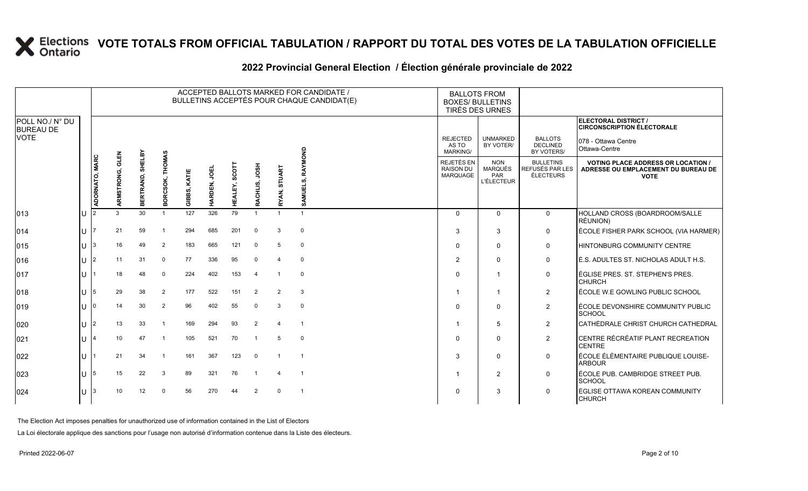#### **2022 Provincial General Election / Élection générale provinciale de 2022**

|                                     |              |                |                    |                     |                    |                       |                       |                  |                     |                | ACCEPTED BALLOTS MARKED FOR CANDIDATE /<br>BULLETINS ACCEPTÉS POUR CHAQUE CANDIDAT(E) | <b>BALLOTS FROM</b><br><b>BOXES/ BULLETINS</b><br>TIRÉS DES URNES |                                                   |                                                  |                                                                                                 |
|-------------------------------------|--------------|----------------|--------------------|---------------------|--------------------|-----------------------|-----------------------|------------------|---------------------|----------------|---------------------------------------------------------------------------------------|-------------------------------------------------------------------|---------------------------------------------------|--------------------------------------------------|-------------------------------------------------------------------------------------------------|
| POLL NO./ N° DU<br><b>BUREAU DE</b> |              |                |                    |                     |                    |                       |                       |                  |                     |                |                                                                                       |                                                                   |                                                   |                                                  | <b>ELECTORAL DISTRICT /</b><br><b>CIRCONSCRIPTION ÉLECTORALE</b>                                |
| <b>VOTE</b>                         |              |                |                    |                     |                    |                       |                       |                  |                     |                |                                                                                       | <b>REJECTED</b><br>AS TO<br><b>MARKING/</b>                       | <b>UNMARKED</b><br>BY VOTER/                      | <b>BALLOTS</b><br><b>DECLINED</b><br>BY VOTERS/  | 078 - Ottawa Centre<br>Ottawa-Centre                                                            |
|                                     |              | ADORNATO, MARC | GLEN<br>ARMSTRONG, | SHELBY<br>BERTRAND, | THOMAS<br>BORCSOK, | KATIE<br>ທົ<br>m<br>흥 | <b>UBO</b><br>HARDEN, | SCOTI<br>HEALEY, | HSOL<br>CHLIS,<br>Ř | RYAN, STUART   | RAYMOND<br>SAMUELS,                                                                   | <b>REJETÉS EN</b><br><b>RAISON DU</b><br><b>MARQUAGE</b>          | <b>NON</b><br>MARQUÉS<br>PAR<br><b>L'ÉLECTEUR</b> | <b>BULLETINS</b><br>REFUSÉS PAR LES<br>ÉLECTEURS | <b>VOTING PLACE ADDRESS OR LOCATION /</b><br>ADRESSE OU EMPLACEMENT DU BUREAU DE<br><b>VOTE</b> |
| 013                                 | IU           |                |                    | 30                  |                    | 127                   | 326                   | 79               |                     |                |                                                                                       | $\Omega$                                                          | $\Omega$                                          | $\mathbf{0}$                                     | HOLLAND CROSS (BOARDROOM/SALLE<br>RÉUNION)                                                      |
| 014                                 | ΠT           |                | 21                 | 59                  |                    | 294                   | 685                   | 201              | $\Omega$            | 3              | $\mathbf 0$                                                                           | 3                                                                 | 3                                                 | 0                                                | ÉCOLE FISHER PARK SCHOOL (VIA HARMER)                                                           |
| 015                                 | IU           | 3              | 16                 | 49                  | $\overline{2}$     | 183                   | 665                   | 121              | $\Omega$            | 5              | $\mathbf 0$                                                                           | $\Omega$                                                          | $\Omega$                                          | $\mathbf 0$                                      | HINTONBURG COMMUNITY CENTRE                                                                     |
| 016                                 | Ш            | 2              | 11                 | 31                  | $\Omega$           | 77                    | 336                   | 95               | 0                   |                | $\mathbf 0$                                                                           | $\overline{2}$                                                    | $\Omega$                                          | $\mathbf 0$                                      | É.S. ADULTES ST. NICHOLAS ADULT H.S.                                                            |
| 017                                 | Ш            |                | 18                 | 48                  | 0                  | 224                   | 402                   | 153              | $\overline{4}$      |                | $\mathbf 0$                                                                           | $\Omega$                                                          | -1                                                | $\mathbf 0$                                      | ÉGLISE PRES. ST. STEPHEN'S PRES.<br><b>CHURCH</b>                                               |
| 018                                 | U            | 5              | 29                 | 38                  | $\overline{2}$     | 177                   | 522                   | 151              | $\overline{2}$      | $\overline{2}$ | 3                                                                                     | -1                                                                | -1                                                | $\overline{2}$                                   | ÉCOLE W.E GOWLING PUBLIC SCHOOL                                                                 |
| 019                                 | IU           |                | 14                 | 30                  | $\overline{2}$     | 96                    | 402                   | 55               | 0                   | 3              | $\mathbf 0$                                                                           | $\Omega$                                                          | $\Omega$                                          | $\overline{2}$                                   | ÉCOLE DEVONSHIRE COMMUNITY PUBLIC<br><b>SCHOOL</b>                                              |
| 020                                 | ПT           | $\overline{2}$ | 13                 | 33                  |                    | 169                   | 294                   | 93               | $\overline{2}$      |                |                                                                                       |                                                                   | 5                                                 | $\overline{2}$                                   | CATHÉDRALE CHRIST CHURCH CATHEDRAL                                                              |
| 021                                 | ПT           |                | 10                 | 47                  |                    | 105                   | 521                   | 70               |                     | 5              | $\Omega$                                                                              | $\Omega$                                                          | $\Omega$                                          | $\overline{2}$                                   | CENTRE RÉCRÉATIF PLANT RECREATION<br><b>CENTRE</b>                                              |
| 022                                 | 1 L L        |                | 21                 | 34                  |                    | 161                   | 367                   | 123              | $\mathbf 0$         |                |                                                                                       | 3                                                                 | $\Omega$                                          | $\mathbf 0$                                      | ÉCOLE ÉLÉMENTAIRE PUBLIQUE LOUISE-<br><b>ARBOUR</b>                                             |
| 023                                 | ΠT           | 15             | 15                 | 22                  | 3                  | 89                    | 321                   | 76               |                     |                |                                                                                       | -1                                                                | 2                                                 | $\mathbf 0$                                      | ÉCOLE PUB. CAMBRIDGE STREET PUB.<br><b>SCHOOL</b>                                               |
| 024                                 | $\mathbf{H}$ | 3              | 10 <sup>1</sup>    | 12                  | $\cap$             | 56                    | 270                   | 44               | $\overline{2}$      | $\Omega$       |                                                                                       | $\Omega$                                                          | 3                                                 | $\mathbf 0$                                      | ÉGLISE OTTAWA KOREAN COMMUNITY<br><b>CHURCH</b>                                                 |

The Election Act imposes penalties for unauthorized use of information contained in the List of Electors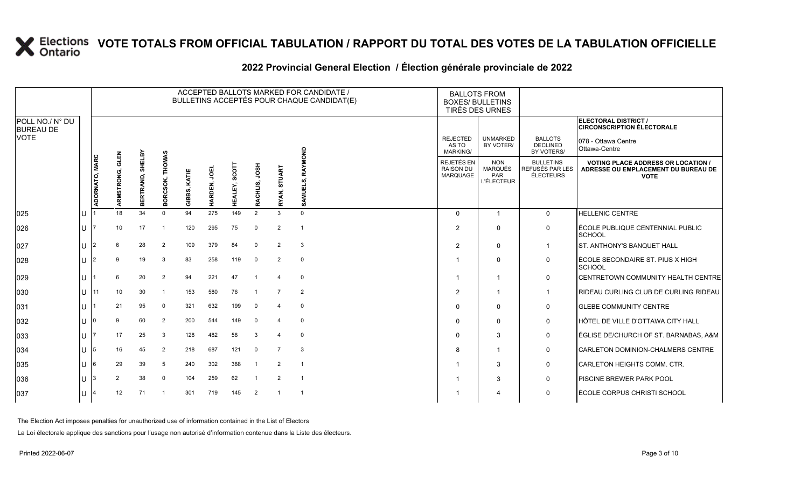#### **2022 Provincial General Election / Élection générale provinciale de 2022**

|                                     |    |                |                    |                     |                           |               |              |                  |                  |                | ACCEPTED BALLOTS MARKED FOR CANDIDATE /<br>BULLETINS ACCEPTÉS POUR CHAQUE CANDIDAT(E) | <b>BALLOTS FROM</b><br><b>BOXES/ BULLETINS</b><br>TIRÉS DES URNES |                                                          |                                                         |                                                                                                 |
|-------------------------------------|----|----------------|--------------------|---------------------|---------------------------|---------------|--------------|------------------|------------------|----------------|---------------------------------------------------------------------------------------|-------------------------------------------------------------------|----------------------------------------------------------|---------------------------------------------------------|-------------------------------------------------------------------------------------------------|
| POLL NO./ N° DU<br><b>BUREAU DE</b> |    |                |                    |                     |                           |               |              |                  |                  |                |                                                                                       |                                                                   |                                                          |                                                         | ELECTORAL DISTRICT /<br><b>CIRCONSCRIPTION ÉLECTORALE</b>                                       |
| <b>VOTE</b>                         |    |                |                    |                     |                           |               |              |                  |                  |                |                                                                                       | <b>REJECTED</b><br>AS TO<br><b>MARKING/</b>                       | <b>UNMARKED</b><br>BY VOTER/                             | <b>BALLOTS</b><br><b>DECLINED</b><br>BY VOTERS/         | 078 - Ottawa Centre<br>Ottawa-Centre                                                            |
|                                     |    | ADORNATO, MARC | GLEN<br>ARMSTRONG, | SHELBY<br>BERTRAND, | <b>THOMAS</b><br>BORCSOK, | KATIE<br>GIBB | ğ<br>HARDEN, | SCOTI<br>HEALEY, | HSOL<br>RACHLIS, | RYAN, STUART   | RAYMOND<br>SAMUELS,                                                                   | REJETÉS EN<br><b>RAISON DU</b><br><b>MARQUAGE</b>                 | <b>NON</b><br><b>MARQUÉS</b><br>PAR<br><b>L'ÉLECTEUR</b> | <b>BULLETINS</b><br>REFUSÉS PAR LES<br><b>ÉLECTEURS</b> | <b>VOTING PLACE ADDRESS OR LOCATION /</b><br>ADRESSE OU EMPLACEMENT DU BUREAU DE<br><b>VOTE</b> |
| 025                                 | ΙU |                | 18                 | 34                  | $\Omega$                  | 94            | 275          | 149              | $\overline{2}$   | 3              | $\Omega$                                                                              | $\mathbf 0$                                                       |                                                          | $\mathbf 0$                                             | <b>HELLENIC CENTRE</b>                                                                          |
| 026                                 | lΠ |                | 10 <sup>1</sup>    | 17                  |                           | 120           | 295          | 75               | $\Omega$         | 2              |                                                                                       | $\overline{2}$                                                    | $\Omega$                                                 | $\mathbf 0$                                             | ÉCOLE PUBLIQUE CENTENNIAL PUBLIC<br><b>SCHOOL</b>                                               |
| 027                                 | lu | $\overline{2}$ | 6                  | 28                  | $\overline{2}$            | 109           | 379          | 84               | $\Omega$         | $\overline{2}$ | 3                                                                                     | 2                                                                 | $\Omega$                                                 | $\mathbf 1$                                             | <b>ST. ANTHONY'S BANQUET HALL</b>                                                               |
| 028                                 | IП | $\overline{2}$ | 9                  | 19                  | 3                         | 83            | 258          | 119              | 0                | $\overline{2}$ | $\mathbf 0$                                                                           |                                                                   | 0                                                        | $\mathbf 0$                                             | ÉCOLE SECONDAIRE ST. PIUS X HIGH<br>SCHOOL                                                      |
| 029                                 | IП |                | 6                  | 20                  | $\overline{2}$            | 94            | 221          | 47               |                  |                | $\mathbf 0$                                                                           |                                                                   | -1                                                       | $\mathbf 0$                                             | CENTRETOWN COMMUNITY HEALTH CENTRE                                                              |
| 030                                 | ΙU | 11             | 10                 | 30                  | -1                        | 153           | 580          | 76               |                  |                | $\overline{2}$                                                                        | $\overline{2}$                                                    |                                                          | $\mathbf 1$                                             | RIDEAU CURLING CLUB DE CURLING RIDEAU                                                           |
| 031                                 | lU |                | 21                 | 95                  | $\Omega$                  | 321           | 632          | 199              | $\Omega$         |                | $\mathbf 0$                                                                           | $\Omega$                                                          | $\Omega$                                                 | $\mathbf 0$                                             | <b>GLEBE COMMUNITY CENTRE</b>                                                                   |
| 032                                 | lΠ |                | q                  | 60                  | $\overline{2}$            | 200           | 544          | 149              | $\Omega$         |                | $\mathbf 0$                                                                           | $\Omega$                                                          | $\Omega$                                                 | $\mathbf 0$                                             | HÔTEL DE VILLE D'OTTAWA CITY HALL                                                               |
| 033                                 | ΙU |                | 17                 | 25                  | -3                        | 128           | 482          | 58               | 3                |                | $\mathbf 0$                                                                           | $\Omega$                                                          | 3                                                        | $\mathbf 0$                                             | ÉGLISE DE/CHURCH OF ST. BARNABAS, A&M                                                           |
| 034                                 | ΙU | 5              | 16                 | 45                  | $\overline{2}$            | 218           | 687          | 121              | $\Omega$         | $\overline{7}$ | 3                                                                                     | 8                                                                 | -1                                                       | $\mathbf 0$                                             | CARLETON DOMINION-CHALMERS CENTRE                                                               |
| 035                                 | lθ | 6              | 29                 | 39                  | 5                         | 240           | 302          | 388              |                  | 2              |                                                                                       |                                                                   | 3                                                        | $\mathbf 0$                                             | CARLETON HEIGHTS COMM. CTR.                                                                     |
| 036                                 | IU | 3              | $\overline{2}$     | 38                  | $\Omega$                  | 104           | 259          | 62               |                  | $\overline{2}$ | - 1                                                                                   |                                                                   | 3                                                        | $\mathbf 0$                                             | PISCINE BREWER PARK POOL                                                                        |
| 037                                 | lU |                | 12                 | 71                  |                           | 301           | 719          | 145              | $\overline{2}$   |                |                                                                                       |                                                                   | 4                                                        | $\mathbf 0$                                             | ÉCOLE CORPUS CHRISTI SCHOOL                                                                     |

The Election Act imposes penalties for unauthorized use of information contained in the List of Electors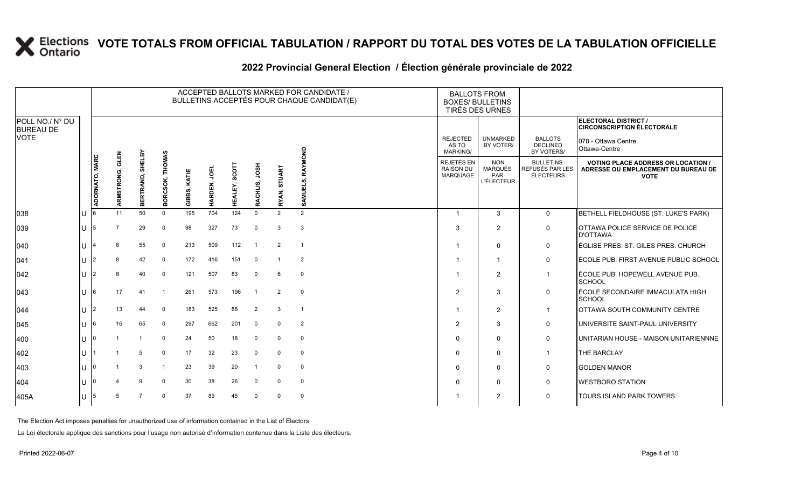#### **2022 Provincial General Election / Élection générale provinciale de 2022**

|                                     |     |                |                    |                  |                           |              |              |                         |                  |              | ACCEPTED BALLOTS MARKED FOR CANDIDATE /<br>BULLETINS ACCEPTÉS POUR CHAQUE CANDIDAT(E) | <b>BALLOTS FROM</b><br><b>BOXES/ BULLETINS</b><br>TIRÉS DES URNES |                                                                 |                                                         |                                                                                                 |
|-------------------------------------|-----|----------------|--------------------|------------------|---------------------------|--------------|--------------|-------------------------|------------------|--------------|---------------------------------------------------------------------------------------|-------------------------------------------------------------------|-----------------------------------------------------------------|---------------------------------------------------------|-------------------------------------------------------------------------------------------------|
| POLL NO./ N° DU<br><b>BUREAU DE</b> |     |                |                    |                  |                           |              |              |                         |                  |              |                                                                                       |                                                                   |                                                                 |                                                         | ELECTORAL DISTRICT /<br><b>CIRCONSCRIPTION ÉLECTORALE</b>                                       |
| <b>VOTE</b>                         |     |                |                    |                  |                           |              |              |                         |                  |              |                                                                                       | <b>REJECTED</b><br>AS TO<br><b>MARKING/</b>                       | <b>UNMARKED</b><br>BY VOTER/                                    | <b>BALLOTS</b><br><b>DECLINED</b><br>BY VOTERS/         | 078 - Ottawa Centre<br>Ottawa-Centre                                                            |
|                                     |     | ADORNATO, MARC | GLEN<br>ARMSTRONG, | BERTRAND, SHELBY | <b>THOMAS</b><br>BORCSOK, | GIBBS, KATIE | ğ<br>HARDEN, | <b>SCOTT</b><br>HEALEY, | HSOL<br>RACHLIS, | RYAN, STUART | RAYMOND<br>SAMUELS,                                                                   | REJETÉS EN<br><b>RAISON DU</b><br><b>MARQUAGE</b>                 | <b>NON</b><br><b>MARQUÉS</b><br><b>PAR</b><br><b>L'ÉLECTEUR</b> | <b>BULLETINS</b><br>REFUSÉS PAR LES<br><b>ÉLECTEURS</b> | <b>VOTING PLACE ADDRESS OR LOCATION /</b><br>ADRESSE OU EMPLACEMENT DU BUREAU DE<br><b>VOTE</b> |
| 038                                 | lU  |                | 11                 | 50               | $\Omega$                  | 195          | 704          | 124                     | $\Omega$         | 2            | 2                                                                                     | $\overline{1}$                                                    | $\mathcal{S}$                                                   | $\mathbf{0}$                                            | BETHELL FIELDHOUSE (ST. LUKE'S PARK)                                                            |
| $ 039\rangle$                       | IU. | 5              | $\overline{7}$     | 29               | $\Omega$                  | 98           | 327          | 73                      | $\mathbf 0$      | 3            | 3                                                                                     | 3                                                                 | $\overline{2}$                                                  | $\mathbf 0$                                             | OTTAWA POLICE SERVICE DE POLICE<br><b>D'OTTAWA</b>                                              |
| $ 040\rangle$                       | lU  | 4              | 6                  | 55               | $\Omega$                  | 213          | 509          | 112                     |                  | 2            | $\overline{1}$                                                                        |                                                                   | $\Omega$                                                        | $\mathbf 0$                                             | ÉGLISE PRES. ST. GILES PRES. CHURCH                                                             |
| $ 041\rangle$                       | lu  | $\overline{2}$ | 8                  | 42               | $\mathbf 0$               | 172          | 416          | 151                     | $\Omega$         |              | $\overline{2}$                                                                        |                                                                   |                                                                 | $\mathsf{O}$                                            | ÉCOLE PUB. FIRST AVENUE PUBLIC SCHOOL                                                           |
| 042                                 | lθ  | 2              |                    | 40               | $\Omega$                  | 121          | 507          | 83                      | $\Omega$         | 6            | $\mathbf 0$                                                                           |                                                                   | $\overline{2}$                                                  | $\mathbf{1}$                                            | ÉCOLE PUB. HOPEWELL AVENUE PUB.<br>SCHOOL                                                       |
| $ 043\rangle$                       | lU  | 6              | 17                 | 41               | -1                        | 261          | 573          | 196                     |                  | 2            | $\mathbf 0$                                                                           | 2                                                                 | 3                                                               | $\mathbf 0$                                             | ÉCOLE SECONDAIRE IMMACULATA HIGH<br>SCHOOL                                                      |
| 044                                 | ΙU  | $\overline{2}$ | 13                 | 44               | $\Omega$                  | 183          | 525          | 88                      | $\overline{2}$   | 3            | $\overline{1}$                                                                        | $\overline{\mathbf{1}}$                                           | $\overline{2}$                                                  | $\overline{1}$                                          | OTTAWA SOUTH COMMUNITY CENTRE                                                                   |
| 045                                 | lU  | 6              | 16                 | 65               | $\mathbf 0$               | 297          | 662          | 201                     | $\Omega$         | $\Omega$     | $\overline{2}$                                                                        | $\overline{2}$                                                    | 3                                                               | $\mathbf 0$                                             | UNIVERSITÉ SAINT-PAUL UNIVERSITY                                                                |
| $ 400\rangle$                       | lU  | <sup>0</sup>   |                    | -1               | $\Omega$                  | 24           | 50           | 18                      | $\Omega$         | $\Omega$     | 0                                                                                     | $\mathbf 0$                                                       | $\Omega$                                                        | $\mathbf 0$                                             | UNITARIAN HOUSE - MAISON UNITARIENNNE                                                           |
| 402                                 | U   |                |                    | 5                | $\Omega$                  | 17           | 32           | 23                      | $\Omega$         | $\Omega$     | $\mathbf 0$                                                                           | $\Omega$                                                          | $\Omega$                                                        | $\mathbf{1}$                                            | THE BARCLAY                                                                                     |
| 403                                 | ΙU  |                |                    | 3                |                           | 23           | 39           | 20                      |                  | $\Omega$     | $\mathbf 0$                                                                           | $\mathbf 0$                                                       | 0                                                               | $\mathbf 0$                                             | <b>GOLDEN MANOR</b>                                                                             |
| 404                                 | IП  |                |                    | 9                | $\Omega$                  | 30           | 38           | 26                      | $\Omega$         | $\Omega$     | $\mathbf 0$                                                                           | $\Omega$                                                          | 0                                                               | $\mathbf 0$                                             | <b>WESTBORO STATION</b>                                                                         |
| 405A                                | lU  | 5              |                    | 7                | $\Omega$                  | 37           | 89           | 45                      | $\Omega$         | $\Omega$     | $\mathbf 0$                                                                           |                                                                   | 2                                                               | $\mathbf 0$                                             | TOURS ISLAND PARK TOWERS                                                                        |

The Election Act imposes penalties for unauthorized use of information contained in the List of Electors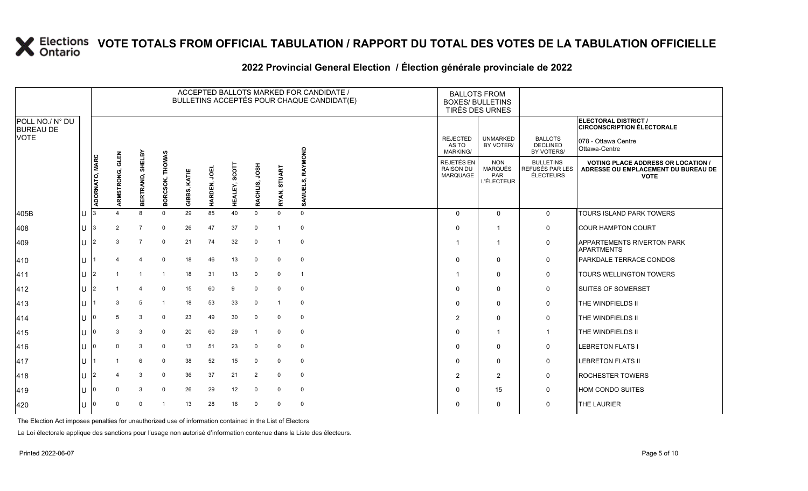#### **2022 Provincial General Election / Élection générale provinciale de 2022**

|                                     |    |                |                    |                     |                 |              |                        |                 |                  |              | ACCEPTED BALLOTS MARKED FOR CANDIDATE /<br>BULLETINS ACCEPTÉS POUR CHAQUE CANDIDAT(E) |                                      | <b>BALLOTS FROM</b><br><b>BOXES/ BULLETINS</b><br>TIRÉS DES URNES |                                                  |                                                                                                 |
|-------------------------------------|----|----------------|--------------------|---------------------|-----------------|--------------|------------------------|-----------------|------------------|--------------|---------------------------------------------------------------------------------------|--------------------------------------|-------------------------------------------------------------------|--------------------------------------------------|-------------------------------------------------------------------------------------------------|
| POLL NO./ N° DU<br><b>BUREAU DE</b> |    |                |                    |                     |                 |              |                        |                 |                  |              |                                                                                       |                                      |                                                                   |                                                  | ELECTORAL DISTRICT /<br><b>CIRCONSCRIPTION ÉLECTORALE</b>                                       |
| <b>VOTE</b>                         |    |                |                    |                     |                 |              |                        |                 |                  |              |                                                                                       | <b>REJECTED</b><br>AS TO<br>MARKING/ | <b>UNMARKED</b><br>BY VOTER/                                      | <b>BALLOTS</b><br><b>DECLINED</b><br>BY VOTERS/  | 078 - Ottawa Centre<br>Ottawa-Centre                                                            |
|                                     |    | ADORNATO, MARC | GLEN<br>ARMSTRONG, | SHELBY<br>BERTRAND, | BORCSOK, THOMAS | GIBBS, KATIE | <b>JOEL</b><br>HARDEN, | SCOT<br>HEALEY, | HSOL<br>RACHLIS, | RYAN, STUART | RAYMOND<br>SAMUELS,                                                                   | REJETÉS EN<br>RAISON DU<br>MARQUAGE  | <b>NON</b><br>MARQUÉS<br>PAR<br><b>L'ÉLECTEUR</b>                 | <b>BULLETINS</b><br>REFUSÉS PAR LES<br>ÉLECTEURS | <b>VOTING PLACE ADDRESS OR LOCATION /</b><br>ADRESSE OU EMPLACEMENT DU BUREAU DE<br><b>VOTE</b> |
| 405B                                | IU |                |                    | $\mathsf{R}$        | $\Omega$        | 29           | 85                     | 40              | $\mathbf 0$      | $\Omega$     | $\mathbf{0}$                                                                          | $\Omega$                             | $\mathbf 0$                                                       | $\mathbf 0$                                      | TOURS ISLAND PARK TOWERS                                                                        |
| 408                                 | lU | 3              | 2                  | $\overline{7}$      | $\mathbf{0}$    | 26           | 47                     | 37              | 0                | -1           | $\mathbf 0$                                                                           | $\Omega$                             |                                                                   | 0                                                | <b>COUR HAMPTON COURT</b>                                                                       |
| 409                                 | IП | 2              | 3                  |                     | $\mathbf{0}$    | 21           | 74                     | 32              | 0                |              | $\mathbf 0$                                                                           |                                      | -1                                                                | $\mathbf 0$                                      | APPARTEMENTS RIVERTON PARK<br><b>APARTMENTS</b>                                                 |
| 410                                 | hт |                |                    |                     | $\mathbf 0$     | 18           | 46                     | 13              | $\mathbf 0$      | $\mathbf 0$  | $\mathbf 0$                                                                           | $\Omega$                             | $\mathbf 0$                                                       | $\mathbf 0$                                      | PARKDALE TERRACE CONDOS                                                                         |
| 411                                 | lU |                |                    |                     | -1              | 18           | 31                     | 13              | 0                | $\mathbf 0$  | $\overline{1}$                                                                        |                                      | 0                                                                 | 0                                                | <b>TOURS WELLINGTON TOWERS</b>                                                                  |
| 412                                 | lυ |                |                    |                     | $\Omega$        | 15           | 60                     | 9               | 0                | $\Omega$     | $\mathbf 0$                                                                           | $\Omega$                             | $\mathbf 0$                                                       | 0                                                | <b>SUITES OF SOMERSET</b>                                                                       |
| $ 413\rangle$                       | lu |                | 3                  | 5                   |                 | 18           | 53                     | 33              | $\mathbf 0$      | 1            | $\mathbf 0$                                                                           | 0                                    | $\mathbf 0$                                                       | 0                                                | THE WINDFIELDS II                                                                               |
| 414                                 | Ш  |                | 5                  | 3                   | $\Omega$        | 23           | 49                     | 30              | 0                | $\Omega$     | $\mathbf 0$                                                                           | 2                                    | $\mathbf 0$                                                       | $\mathbf 0$                                      | THE WINDFIELDS II                                                                               |
| 415                                 | hт |                | 3                  | 3                   | $\mathbf 0$     | 20           | 60                     | 29              | -1               | $\Omega$     | $\mathbf 0$                                                                           | $\Omega$                             | $\overline{\mathbf{1}}$                                           | $\overline{1}$                                   | THE WINDFIELDS II                                                                               |
| 416                                 | lU |                | $\Omega$           | 3                   | $\Omega$        | 13           | 51                     | 23              | 0                | $\mathbf 0$  | $\mathbf 0$                                                                           | <sup>0</sup>                         | $\mathbf 0$                                                       | 0                                                | <b>LEBRETON FLATS I</b>                                                                         |
| 417                                 | lu |                |                    | 6                   | $\mathbf 0$     | 38           | 52                     | 15              | 0                | $\mathbf 0$  | $\mathbf 0$                                                                           | 0                                    | $\mathbf 0$                                                       | 0                                                | <b>LEBRETON FLATS II</b>                                                                        |
| 418                                 | lu |                |                    | 3                   | $\mathbf 0$     | 36           | 37                     | 21              | 2                | 0            | $\mathbf 0$                                                                           | $\overline{2}$                       | 2                                                                 | 0                                                | <b>ROCHESTER TOWERS</b>                                                                         |
| 419                                 | IП |                |                    | 3                   | $\Omega$        | 26           | 29                     | 12              | $\mathbf 0$      | $\Omega$     | $\mathbf 0$                                                                           | $\Omega$                             | 15                                                                | 0                                                | HOM CONDO SUITES                                                                                |
| 420                                 | ΙU |                | $\Omega$           | $\Omega$            |                 | 13           | 28                     | 16              | 0                | $\Omega$     | $\mathbf 0$                                                                           | $\Omega$                             | 0                                                                 | 0                                                | <b>THE LAURIER</b>                                                                              |

The Election Act imposes penalties for unauthorized use of information contained in the List of Electors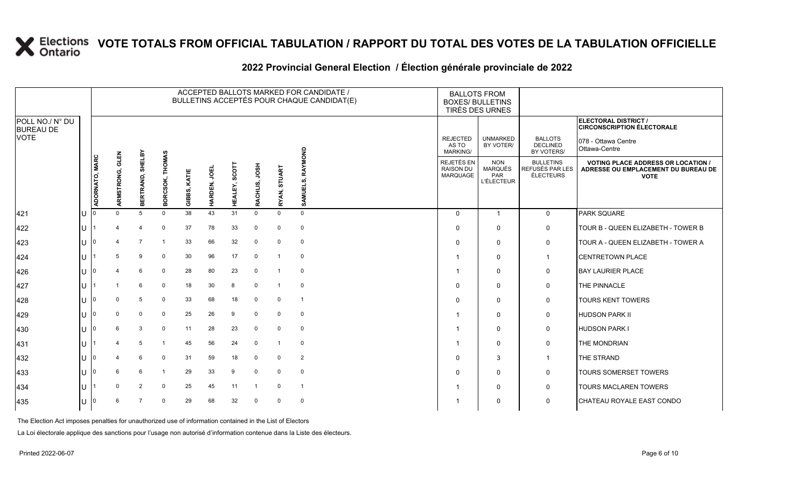#### **2022 Provincial General Election / Élection générale provinciale de 2022**

|                                     |    |                |                 |                     |                 |              |             |                             |                  |              | ACCEPTED BALLOTS MARKED FOR CANDIDATE /<br>BULLETINS ACCEPTÉS POUR CHAQUE CANDIDAT(E) | <b>BOXES/ BULLETINS</b>                     | <b>BALLOTS FROM</b><br>TIRÉS DES URNES                   |                                                  |                                                                                                 |
|-------------------------------------|----|----------------|-----------------|---------------------|-----------------|--------------|-------------|-----------------------------|------------------|--------------|---------------------------------------------------------------------------------------|---------------------------------------------|----------------------------------------------------------|--------------------------------------------------|-------------------------------------------------------------------------------------------------|
| POLL NO./ N° DU<br><b>BUREAU DE</b> |    |                |                 |                     |                 |              |             |                             |                  |              |                                                                                       |                                             |                                                          |                                                  | <b>ELECTORAL DISTRICT /</b><br><b>CIRCONSCRIPTION ÉLECTORALE</b>                                |
| <b>VOTE</b>                         |    |                |                 |                     |                 |              |             |                             |                  |              |                                                                                       | <b>REJECTED</b><br>AS TO<br><b>MARKING/</b> | <b>UNMARKED</b><br>BY VOTER/                             | <b>BALLOTS</b><br><b>DECLINED</b><br>BY VOTERS/  | 078 - Ottawa Centre<br>Ottawa-Centre                                                            |
|                                     |    | ADORNATO, MARC | ARMSTRONG, GLEN | SHELBY<br>BERTRAND, | BORCSOK, THOMAS | GIBBS, KATIE | HARDEN, JOE | SCO <sup>-</sup><br>HEALEY, | HSOL<br>RACHLIS, | RYAN, STUART | RAYMOND<br>SAMUELS,                                                                   | REJETÉS EN<br><b>RAISON DU</b><br>MARQUAGE  | <b>NON</b><br><b>MARQUÉS</b><br>PAR<br><b>L'ÉLECTEUR</b> | <b>BULLETINS</b><br>REFUSÉS PAR LES<br>ÉLECTEURS | <b>VOTING PLACE ADDRESS OR LOCATION /</b><br>ADRESSE OU EMPLACEMENT DU BUREAU DE<br><b>VOTE</b> |
| 421                                 | Iυ |                | $\Omega$        | 5                   | $\Omega$        | 38           | 43          | 31                          | $\mathbf 0$      | $\mathbf{0}$ | $\mathbf 0$                                                                           | $\Omega$                                    | $\overline{1}$                                           | $\mathbf 0$                                      | PARK SQUARE                                                                                     |
| 422                                 | Iυ |                |                 | $\overline{4}$      | $\mathbf 0$     | 37           | 78          | 33                          | 0                | 0            | $\mathbf 0$                                                                           | $\Omega$                                    | $\mathbf 0$                                              | $\mathsf{O}$                                     | TOUR B - QUEEN ELIZABETH - TOWER B                                                              |
| 423                                 | Iυ |                |                 | $\overline{7}$      |                 | 33           | 66          | 32                          | 0                | 0            | $\mathbf 0$                                                                           |                                             | $\mathbf 0$                                              | 0                                                | TOUR A - QUEEN ELIZABETH - TOWER A                                                              |
| 424                                 | ΙU |                | 5               | 9                   | $\Omega$        | 30           | 96          | 17                          | 0                | -1           | $\mathbf 0$                                                                           |                                             | $\mathbf 0$                                              | $\mathbf{1}$                                     | <b>CENTRETOWN PLACE</b>                                                                         |
| 426                                 | Iυ |                |                 | 6                   | 0               | 28           | 80          | 23                          | 0                |              | $\mathbf 0$                                                                           |                                             | $\mathbf 0$                                              | $\mathsf{O}$                                     | <b>BAY LAURIER PLACE</b>                                                                        |
| 427                                 | lu |                |                 | 6                   | $\Omega$        | 18           | 30          | 8                           | $\mathbf 0$      |              | $\mathbf 0$                                                                           | $\Omega$                                    | $\mathbf 0$                                              | $\mathbf 0$                                      | THE PINNACLE                                                                                    |
| 428                                 | IП |                | $\Omega$        | 5                   | $\Omega$        | 33           | 68          | 18                          | 0                | $\mathbf{0}$ | $\overline{1}$                                                                        |                                             | $\mathbf 0$                                              | $\mathsf{O}$                                     | <b>TOURS KENT TOWERS</b>                                                                        |
| 429                                 | Iυ |                | $\mathbf 0$     | 0                   | $\mathbf 0$     | 25           | 26          | 9                           | $\mathbf 0$      | 0            | $\mathbf 0$                                                                           |                                             | $\mathbf 0$                                              | 0                                                | <b>HUDSON PARK II</b>                                                                           |
| 430                                 | lu |                | 6               | 3                   | $\Omega$        | 11           | 28          | 23                          | $\mathbf 0$      | $\mathbf 0$  | $\mathbf 0$                                                                           |                                             | $\mathbf 0$                                              | $\mathbf 0$                                      | <b>HUDSON PARK I</b>                                                                            |
| 431                                 | lυ |                |                 | 5                   | -1              | 45           | 56          | 24                          | $\mathbf 0$      | -1           | $\mathbf 0$                                                                           |                                             | $\Omega$                                                 | $\mathbf 0$                                      | THE MONDRIAN                                                                                    |
| 432                                 | Iυ |                |                 | 6                   | $\mathbf 0$     | 31           | 59          | 18                          | $\mathbf 0$      | $\mathbf{0}$ | $\overline{2}$                                                                        | $\Omega$                                    | 3                                                        | $\overline{1}$                                   | THE STRAND                                                                                      |
| $ 433\rangle$                       | Iυ |                | 6               | 6                   |                 | 29           | 33          | 9                           | 0                | $\mathbf 0$  | $\mathbf 0$                                                                           | $\Omega$                                    | $\mathbf 0$                                              | 0                                                | <b>TOURS SOMERSET TOWERS</b>                                                                    |
| 434                                 | lu |                | $\Omega$        | 2                   | $\Omega$        | 25           | 45          | 11                          | -1               | $\mathbf{0}$ | $\overline{1}$                                                                        |                                             | $\mathbf 0$                                              | $\mathbf 0$                                      | <b>TOURS MACLAREN TOWERS</b>                                                                    |
| 435                                 | Iυ |                | 6               |                     | $\Omega$        | 29           | 68          | 32                          | $\mathbf 0$      | $\Omega$     | $\mathbf 0$                                                                           |                                             | $\mathbf 0$                                              | $\mathbf 0$                                      | CHATEAU ROYALE EAST CONDO                                                                       |

The Election Act imposes penalties for unauthorized use of information contained in the List of Electors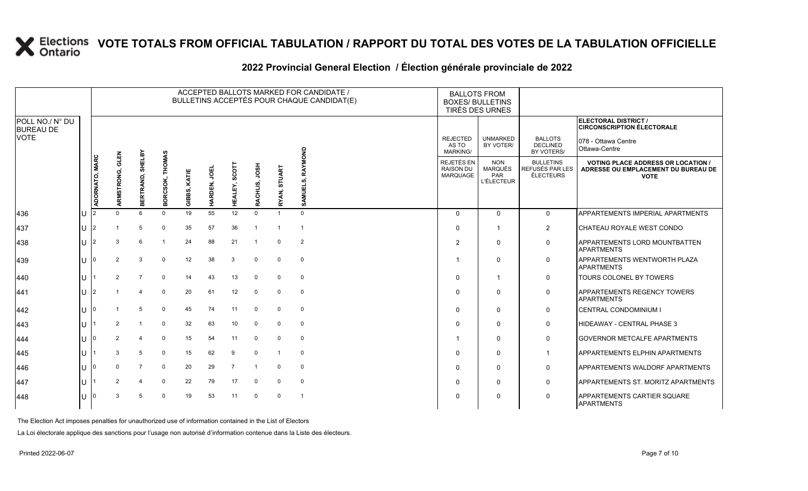#### **2022 Provincial General Election / Élection générale provinciale de 2022**

|                                     |              |                |                    |                     |                                   |                 |              |                |                  |              | ACCEPTED BALLOTS MARKED FOR CANDIDATE /<br>BULLETINS ACCEPTÉS POUR CHAQUE CANDIDAT(E) | <b>BALLOTS FROM</b><br><b>BOXES/ BULLETINS</b> | TIRÉS DES URNES                                                 |                                                  |                                                                                                 |
|-------------------------------------|--------------|----------------|--------------------|---------------------|-----------------------------------|-----------------|--------------|----------------|------------------|--------------|---------------------------------------------------------------------------------------|------------------------------------------------|-----------------------------------------------------------------|--------------------------------------------------|-------------------------------------------------------------------------------------------------|
| POLL NO./ N° DU<br><b>BUREAU DE</b> |              |                |                    |                     |                                   |                 |              |                |                  |              |                                                                                       |                                                |                                                                 |                                                  | ELECTORAL DISTRICT /<br><b>CIRCONSCRIPTION ÉLECTORALE</b>                                       |
| <b>VOTE</b>                         |              |                |                    |                     |                                   |                 |              |                |                  |              |                                                                                       | <b>REJECTED</b><br>AS TO<br>MARKING/           | <b>UNMARKED</b><br>BY VOTER/                                    | <b>BALLOTS</b><br><b>DECLINED</b><br>BY VOTERS/  | 078 - Ottawa Centre<br>Ottawa-Centre                                                            |
|                                     |              | ADORNATO, MARC | GLEN<br>ARMSTRONG, | SHELBY<br>BERTRAND, | <b>THOMAS</b><br>RCSOK,<br>ក<br>m | KATIE<br>GIBBS, | ğ<br>HARDEN, | HEALEY, SCOTT  | HSOL<br>RACHLIS, | RYAN, STUART | RAYMOND<br>ທົ<br>AMUEL!<br>võ.                                                        | REJETÉS EN<br><b>RAISON DU</b><br>MARQUAGE     | <b>NON</b><br><b>MARQUÉS</b><br><b>PAR</b><br><b>L'ÉLECTEUR</b> | <b>BULLETINS</b><br>REFUSÉS PAR LES<br>ÉLECTEURS | <b>VOTING PLACE ADDRESS OR LOCATION /</b><br>ADRESSE OU EMPLACEMENT DU BUREAU DE<br><b>VOTE</b> |
| 436                                 | IU.          |                | $\Omega$           | 6                   | $\Omega$                          | 19              | 55           | 12             | $\Omega$         |              | $\Omega$                                                                              | $\Omega$                                       | $\Omega$                                                        | $\mathbf 0$                                      | APPARTEMENTS IMPERIAL APARTMENTS                                                                |
| 437                                 | U            | 2              |                    | 5                   | $\Omega$                          | 35              | 57           | 36             |                  |              |                                                                                       | $\Omega$                                       |                                                                 | $\overline{2}$                                   | CHATEAU ROYALE WEST CONDO                                                                       |
| 438                                 | ΠT           | $\mathcal{P}$  | 3                  | 6                   |                                   | 24              | 88           | 21             | $\overline{1}$   | 0            | 2                                                                                     | $\overline{2}$                                 | $\Omega$                                                        | $\mathbf 0$                                      | APPARTEMENTS LORD MOUNTBATTEN<br><b>APARTMENTS</b>                                              |
| 439                                 | ΠT           |                | 2                  | 3                   | $\mathbf 0$                       | 12              | 38           | 3              | 0                | 0            | 0                                                                                     |                                                | $\Omega$                                                        | 0                                                | <b>APPARTEMENTS WENTWORTH PLAZA</b><br><b>APARTMENTS</b>                                        |
| 440                                 | ΙU           |                | 2                  | $\overline{7}$      | $\mathbf 0$                       | 14              | 43           | 13             | $\Omega$         | $\Omega$     | 0                                                                                     | $\Omega$                                       |                                                                 | 0                                                | <b>TOURS COLONEL BY TOWERS</b>                                                                  |
| 441                                 | U            | 2              |                    |                     | $\Omega$                          | 20              | 61           | 12             | 0                | $\Omega$     | $\mathbf 0$                                                                           | $\Omega$                                       | $\Omega$                                                        | $\mathbf 0$                                      | APPARTEMENTS REGENCY TOWERS<br><b>APARTMENTS</b>                                                |
| 442                                 | $\mathbf{L}$ |                |                    | 5                   | $\Omega$                          | 45              | 74           | 11             | 0                | 0            | 0                                                                                     | $\Omega$                                       | $\Omega$                                                        | $\mathbf 0$                                      | CENTRAL CONDOMINIUM I                                                                           |
| 443                                 | $\mathbf{L}$ |                | $\mathcal{P}$      | $\overline{1}$      | $\Omega$                          | 32              | 63           | 10             | $\mathbf 0$      | $\Omega$     | 0                                                                                     | $\Omega$                                       | $\Omega$                                                        | 0                                                | HIDEAWAY - CENTRAL PHASE 3                                                                      |
| 444                                 | ΙU           | ١n             |                    | 4                   | $\Omega$                          | 15              | 54           | 11             | $\Omega$         | $\Omega$     | $\Omega$                                                                              |                                                | $\Omega$                                                        | 0                                                | <b>GOVERNOR METCALFE APARTMENTS</b>                                                             |
| 445                                 | ΠL           |                |                    | 5                   | $\Omega$                          | 15              | 62           | 9              | $\Omega$         |              | $\Omega$                                                                              | $\Omega$                                       | $\Omega$                                                        | $\mathbf 1$                                      | <b>APPARTEMENTS ELPHIN APARTMENTS</b>                                                           |
| 446                                 | $\mathbf{L}$ |                |                    | $\overline{7}$      | $\Omega$                          | 20              | 29           | $\overline{7}$ |                  | $\Omega$     | $\mathbf 0$                                                                           | $\Omega$                                       | $\Omega$                                                        | 0                                                | APPARTEMENTS WALDORF APARTMENTS                                                                 |
| 447                                 | ΠT           |                |                    | $\overline{4}$      | $\Omega$                          | 22              | 79           | 17             | $\Omega$         | $\Omega$     | $\mathbf 0$                                                                           | $\Omega$                                       | $\Omega$                                                        | $\mathbf 0$                                      | APPARTEMENTS ST. MORITZ APARTMENTS                                                              |
| 448                                 |              |                |                    | 5                   | $\Omega$                          | 19              | 53           | 11             | $\Omega$         | $\Omega$     |                                                                                       | $\Omega$                                       | $\Omega$                                                        | $\mathbf 0$                                      | APPARTEMENTS CARTIER SQUARE<br><b>APARTMENTS</b>                                                |

The Election Act imposes penalties for unauthorized use of information contained in the List of Electors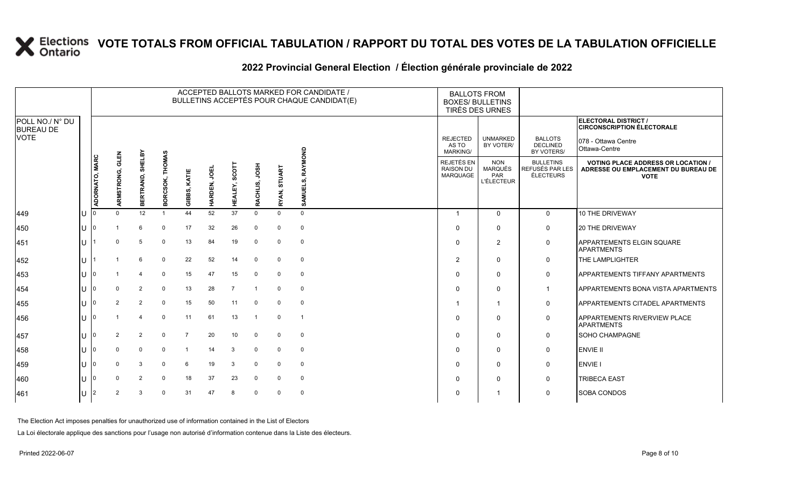#### **2022 Provincial General Election / Élection générale provinciale de 2022**

|                                     |    |                |                 |                  |                           |                 |             |                |                  |              | ACCEPTED BALLOTS MARKED FOR CANDIDATE /<br>BULLETINS ACCEPTÉS POUR CHAQUE CANDIDAT(E) | <b>BALLOTS FROM</b><br><b>BOXES/ BULLETINS</b><br>TIRÉS DES URNES |                                                          |                                                         |                                                                                                 |
|-------------------------------------|----|----------------|-----------------|------------------|---------------------------|-----------------|-------------|----------------|------------------|--------------|---------------------------------------------------------------------------------------|-------------------------------------------------------------------|----------------------------------------------------------|---------------------------------------------------------|-------------------------------------------------------------------------------------------------|
| POLL NO./ N° DU<br><b>BUREAU DE</b> |    |                |                 |                  |                           |                 |             |                |                  |              |                                                                                       |                                                                   |                                                          |                                                         | ELECTORAL DISTRICT /<br><b>CIRCONSCRIPTION ÉLECTORALE</b>                                       |
| <b>VOTE</b>                         |    |                |                 |                  |                           |                 |             |                |                  |              |                                                                                       | <b>REJECTED</b><br>AS TO<br>MARKING/                              | <b>UNMARKED</b><br>BY VOTER/                             | <b>BALLOTS</b><br><b>DECLINED</b><br>BY VOTERS/         | 078 - Ottawa Centre<br>Ottawa-Centre                                                            |
|                                     |    | ADORNATO, MARC | ARMSTRONG, GLEN | BERTRAND, SHELBY | <b>THOMAS</b><br>BORCSOK, | KATIE<br>GIBBS, | HARDEN, JOE | HEALEY, SCO'   | HSOL<br>RACHLIS, | RYAN, STUART | RAYMOND<br>SAMUELS,                                                                   | REJETÉS EN<br><b>RAISON DU</b><br>MARQUAGE                        | <b>NON</b><br><b>MARQUÉS</b><br>PAR<br><b>L'ÉLECTEUR</b> | <b>BULLETINS</b><br>REFUSÉS PAR LES<br><b>ÉLECTEURS</b> | <b>VOTING PLACE ADDRESS OR LOCATION /</b><br>ADRESSE OU EMPLACEMENT DU BUREAU DE<br><b>VOTE</b> |
| 449                                 | lu |                | $\Omega$        | 12               |                           | 44              | 52          | 37             | $\mathbf 0$      | $\Omega$     | $\mathbf{0}$                                                                          | -1                                                                | $\mathbf 0$                                              | $\mathbf{0}$                                            | 10 THE DRIVEWAY                                                                                 |
| 450                                 | lu |                |                 | 6                | $\Omega$                  | 17              | 32          | 26             | $\mathbf 0$      | $\mathbf 0$  | $\mathbf 0$                                                                           | $\Omega$                                                          | $\mathbf 0$                                              | $\mathbf 0$                                             | <b>20 THE DRIVEWAY</b>                                                                          |
| 451                                 | lu |                | $\Omega$        | 5                | 0                         | 13              | 84          | 19             | 0                | $\mathbf 0$  | $\mathbf 0$                                                                           | $\mathbf{0}$                                                      | 2                                                        | $\mathbf 0$                                             | <b>APPARTEMENTS ELGIN SQUARE</b><br><b>APARTMENTS</b>                                           |
| 452                                 | lu |                |                 | 6                | $\mathbf 0$               | 22              | 52          | 14             | $\mathbf 0$      | $\mathbf 0$  | $\mathbf 0$                                                                           | 2                                                                 | $\mathbf{0}$                                             | $\mathbf 0$                                             | <b>THE LAMPLIGHTER</b>                                                                          |
| 453                                 | Iυ |                |                 |                  | $\Omega$                  | 15              | 47          | 15             | $\mathbf 0$      | $\mathbf{0}$ | $\mathbf 0$                                                                           | $\Omega$                                                          | $\mathbf 0$                                              | $\mathbf 0$                                             | <b>APPARTEMENTS TIFFANY APARTMENTS</b>                                                          |
| 454                                 | lu |                | $\Omega$        | 2                | $\Omega$                  | 13              | 28          | $\overline{7}$ |                  | 0            | $\mathbf 0$                                                                           | $\Omega$                                                          | $\mathbf 0$                                              | $\overline{1}$                                          | <b>APPARTEMENTS BONA VISTA APARTMENTS</b>                                                       |
| 455                                 | lu |                | 2               | 2                | $\mathbf 0$               | 15              | 50          | 11             | 0                | $\mathbf{0}$ | $\mathbf 0$                                                                           |                                                                   | $\overline{1}$                                           | $\mathsf{O}$                                            | <b>APPARTEMENTS CITADEL APARTMENTS</b>                                                          |
| 456                                 | lu |                |                 | $\overline{4}$   | 0                         | 11              | 61          | 13             | -1               | 0            | $\overline{1}$                                                                        | $\Omega$                                                          | $\Omega$                                                 | $\mathbf 0$                                             | <b>APPARTEMENTS RIVERVIEW PLACE</b><br><b>APARTMENTS</b>                                        |
| 457                                 | lu |                | 2               | 2                | 0                         | $\overline{7}$  | 20          | 10             | 0                | 0            | $\mathbf 0$                                                                           | $\mathbf{0}$                                                      | $\Omega$                                                 | 0                                                       | <b>SOHO CHAMPAGNE</b>                                                                           |
| 458                                 | ΙU |                | $\Omega$        | $\mathbf 0$      | $\Omega$                  | $\overline{1}$  | 14          | 3              | 0                | $\mathbf{0}$ | $\mathbf 0$                                                                           | $\Omega$                                                          | $\mathbf 0$                                              | $\mathsf{O}$                                            | <b>ENVIE II</b>                                                                                 |
| 459                                 | lu |                | $\Omega$        | 3                | $\Omega$                  | 6               | 19          | 3              | $\mathbf 0$      | $\mathbf 0$  | $\mathbf 0$                                                                           | $\Omega$                                                          | $\mathbf 0$                                              | $\mathsf{O}$                                            | <b>ENVIE</b>                                                                                    |
| 460                                 | lu |                | $\Omega$        | 2                | $\Omega$                  | 18              | 37          | 23             | 0                | $\Omega$     | $\mathbf 0$                                                                           |                                                                   | 0                                                        | $\mathbf 0$                                             | <b>TRIBECA EAST</b>                                                                             |
| 461                                 | Iυ |                | $\overline{2}$  | 3                | $\Omega$                  | 31              | 47          | 8              | $\mathbf 0$      | $\Omega$     | $\mathbf 0$                                                                           | $\Omega$                                                          | -1                                                       | $\mathbf 0$                                             | <b>SOBA CONDOS</b>                                                                              |

The Election Act imposes penalties for unauthorized use of information contained in the List of Electors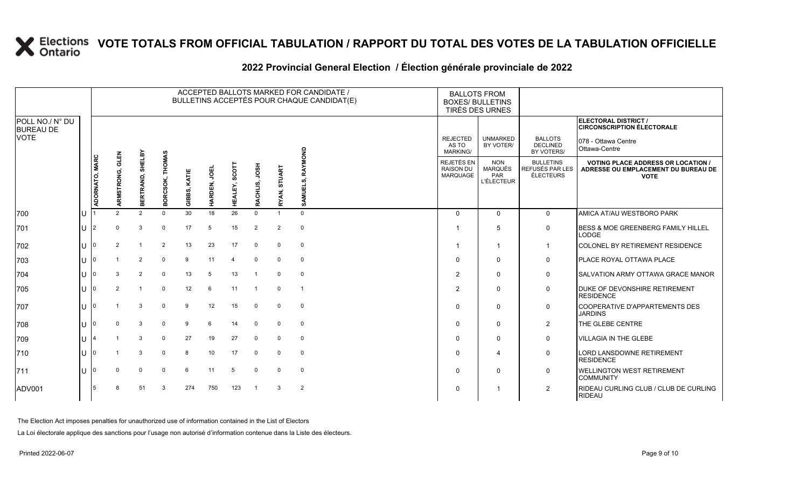#### **2022 Provincial General Election / Élection générale provinciale de 2022**

|                                     |     |                |                    |                     |                                   |                |              |                 |                  |                | ACCEPTED BALLOTS MARKED FOR CANDIDATE /<br>BULLETINS ACCEPTÉS POUR CHAQUE CANDIDAT(E) | <b>BALLOTS FROM</b><br><b>BOXES/ BULLETINS</b><br>TIRÉS DES URNES |                                                   |                                                  |                                                                                                 |
|-------------------------------------|-----|----------------|--------------------|---------------------|-----------------------------------|----------------|--------------|-----------------|------------------|----------------|---------------------------------------------------------------------------------------|-------------------------------------------------------------------|---------------------------------------------------|--------------------------------------------------|-------------------------------------------------------------------------------------------------|
| POLL NO./ N° DU<br><b>BUREAU DE</b> |     |                |                    |                     |                                   |                |              |                 |                  |                |                                                                                       |                                                                   |                                                   |                                                  | <b>ELECTORAL DISTRICT /</b><br><b>CIRCONSCRIPTION ÉLECTORALE</b>                                |
| <b>VOTE</b>                         |     |                |                    |                     |                                   |                |              |                 |                  |                |                                                                                       | <b>REJECTED</b><br>AS TO<br>MARKING/                              | <b>UNMARKED</b><br>BY VOTER/                      | <b>BALLOTS</b><br><b>DECLINED</b><br>BY VOTERS/  | 078 - Ottawa Centre<br>Ottawa-Centre                                                            |
|                                     |     | ADORNATO, MARC | GLEN<br>ARMSTRONG, | SHELBY<br>BERTRAND, | <b>THOMAS</b><br>RCSOK,<br>ō<br>ŏ | KATIE<br>GIBB, | ğ<br>HARDEN, | SCOT<br>HEALEY, | HSOL<br>RACHLIS, | RYAN, STUART   | RAYMOND<br>SAMUI                                                                      | <b>REJETÉS EN</b><br><b>RAISON DU</b><br><b>MARQUAGE</b>          | <b>NON</b><br>MARQUÉS<br>PAR<br><b>L'ÉLECTEUR</b> | <b>BULLETINS</b><br>REFUSÉS PAR LES<br>ÉLECTEURS | <b>VOTING PLACE ADDRESS OR LOCATION /</b><br>ADRESSE OU EMPLACEMENT DU BUREAU DE<br><b>VOTE</b> |
| 700                                 |     |                | $\mathcal{D}$      | $\overline{2}$      | $\mathbf 0$                       | 30             | 18           | 26              | $\mathbf 0$      |                | $\Omega$                                                                              | $\Omega$                                                          | $\Omega$                                          | $\mathbf 0$                                      | AMICA AT/AU WESTBORO PARK                                                                       |
| 701                                 | IU. | 2              |                    | 3                   | $\Omega$                          | 17             | 5            | 15              | $\overline{2}$   | $\overline{2}$ | $\mathbf 0$                                                                           |                                                                   | 5                                                 | $\mathbf 0$                                      | <b>BESS &amp; MOE GREENBERG FAMILY HILLEL</b><br><b>LODGE</b>                                   |
| 702                                 | ΠT  |                |                    |                     | $\overline{2}$                    | 13             | 23           | 17              | $\Omega$         | $\Omega$       | $\mathbf 0$                                                                           |                                                                   | -1                                                | $\mathbf{1}$                                     | COLONEL BY RETIREMENT RESIDENCE                                                                 |
| 703                                 | IП  |                |                    | 2                   | $\Omega$                          | 9              | 11           | 4               | $\Omega$         | $\Omega$       | $\mathbf 0$                                                                           | $\Omega$                                                          | $\Omega$                                          | $\mathbf 0$                                      | PLACE ROYAL OTTAWA PLACE                                                                        |
| 704                                 | lU  |                |                    | 2                   | 0                                 | 13             | 5            | 13              |                  | $\Omega$       | $\mathbf 0$                                                                           | $\overline{2}$                                                    | $\Omega$                                          | $\mathbf 0$                                      | SALVATION ARMY OTTAWA GRACE MANOR                                                               |
| 705                                 | ΠT  |                |                    |                     | $\mathbf 0$                       | 12             | 6            | 11              |                  | $\mathbf 0$    |                                                                                       | 2                                                                 | 0                                                 | $\mathbf 0$                                      | <b>DUKE OF DEVONSHIRE RETIREMENT</b><br><b>RESIDENCE</b>                                        |
| 707                                 | IU  |                |                    | 3                   | 0                                 | 9              | 12           | 15              | 0                | $\Omega$       | $\mathbf 0$                                                                           | $\Omega$                                                          | $\Omega$                                          | $\mathbf 0$                                      | <b>COOPERATIVE D'APPARTEMENTS DES</b><br><b>JARDINS</b>                                         |
| 708                                 | lU  |                | $\Omega$           | 3                   | $\Omega$                          | 9              | 6            | 14              | $\Omega$         | $\Omega$       | $\mathbf 0$                                                                           | $\Omega$                                                          | $\Omega$                                          | $\overline{2}$                                   | THE GLEBE CENTRE                                                                                |
| 709                                 | Ш   |                |                    | 3                   | $\Omega$                          | 27             | 19           | 27              | $\mathbf 0$      | $\Omega$       | $\mathbf 0$                                                                           | $\Omega$                                                          | $\Omega$                                          | $\mathbf 0$                                      | <b>VILLAGIA IN THE GLEBE</b>                                                                    |
| 710                                 | ΠT  |                |                    | 3                   | $\Omega$                          | 8              | 10           | 17              | 0                | $\Omega$       | $\mathbf 0$                                                                           | $\Omega$                                                          | 4                                                 | $\mathbf 0$                                      | <b>LORD LANSDOWNE RETIREMENT</b><br><b>RESIDENCE</b>                                            |
| 711                                 | ΠT  |                |                    | $\Omega$            | $\Omega$                          | 6              | 11           | 5               | $\Omega$         |                | $\mathbf 0$                                                                           | $\Omega$                                                          | $\Omega$                                          | $\mathbf 0$                                      | <b>WELLINGTON WEST RETIREMENT</b><br><b>COMMUNITY</b>                                           |
| ADV001                              |     |                |                    | 51                  | 3                                 | 274            | 750          | 123             |                  | $\mathcal{B}$  | $\overline{2}$                                                                        | 0                                                                 | -1                                                | 2                                                | RIDEAU CURLING CLUB / CLUB DE CURLING<br><b>RIDEAU</b>                                          |

The Election Act imposes penalties for unauthorized use of information contained in the List of Electors